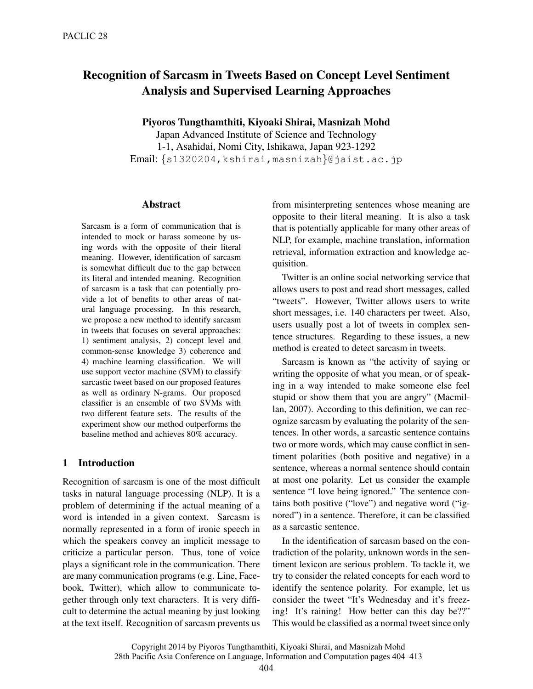# Recognition of Sarcasm in Tweets Based on Concept Level Sentiment Analysis and Supervised Learning Approaches

Piyoros Tungthamthiti, Kiyoaki Shirai, Masnizah Mohd

Japan Advanced Institute of Science and Technology 1-1, Asahidai, Nomi City, Ishikawa, Japan 923-1292 Email: *{*s1320204,kshirai,masnizah*}*@jaist.ac.jp

## Abstract

Sarcasm is a form of communication that is intended to mock or harass someone by using words with the opposite of their literal meaning. However, identification of sarcasm is somewhat difficult due to the gap between its literal and intended meaning. Recognition of sarcasm is a task that can potentially provide a lot of benefits to other areas of natural language processing. In this research, we propose a new method to identify sarcasm in tweets that focuses on several approaches: 1) sentiment analysis, 2) concept level and common-sense knowledge 3) coherence and 4) machine learning classification. We will use support vector machine (SVM) to classify sarcastic tweet based on our proposed features as well as ordinary N-grams. Our proposed classifier is an ensemble of two SVMs with two different feature sets. The results of the experiment show our method outperforms the baseline method and achieves 80% accuracy.

# 1 Introduction

Recognition of sarcasm is one of the most difficult tasks in natural language processing (NLP). It is a problem of determining if the actual meaning of a word is intended in a given context. Sarcasm is normally represented in a form of ironic speech in which the speakers convey an implicit message to criticize a particular person. Thus, tone of voice plays a significant role in the communication. There are many communication programs (e.g. Line, Facebook, Twitter), which allow to communicate together through only text characters. It is very difficult to determine the actual meaning by just looking at the text itself. Recognition of sarcasm prevents us

from misinterpreting sentences whose meaning are opposite to their literal meaning. It is also a task that is potentially applicable for many other areas of NLP, for example, machine translation, information retrieval, information extraction and knowledge acquisition.

Twitter is an online social networking service that allows users to post and read short messages, called "tweets". However, Twitter allows users to write short messages, i.e. 140 characters per tweet. Also, users usually post a lot of tweets in complex sentence structures. Regarding to these issues, a new method is created to detect sarcasm in tweets.

Sarcasm is known as "the activity of saying or writing the opposite of what you mean, or of speaking in a way intended to make someone else feel stupid or show them that you are angry" (Macmillan, 2007). According to this definition, we can recognize sarcasm by evaluating the polarity of the sentences. In other words, a sarcastic sentence contains two or more words, which may cause conflict in sentiment polarities (both positive and negative) in a sentence, whereas a normal sentence should contain at most one polarity. Let us consider the example sentence "I love being ignored." The sentence contains both positive ("love") and negative word ("ignored") in a sentence. Therefore, it can be classified as a sarcastic sentence.

In the identification of sarcasm based on the contradiction of the polarity, unknown words in the sentiment lexicon are serious problem. To tackle it, we try to consider the related concepts for each word to identify the sentence polarity. For example, let us consider the tweet "It's Wednesday and it's freezing! It's raining! How better can this day be??" This would be classified as a normal tweet since only

Copyright 2014 by Piyoros Tungthamthiti, Kiyoaki Shirai, and Masnizah Mohd

<sup>28</sup>th Pacific Asia Conference on Language, Information and Computation pages 404–413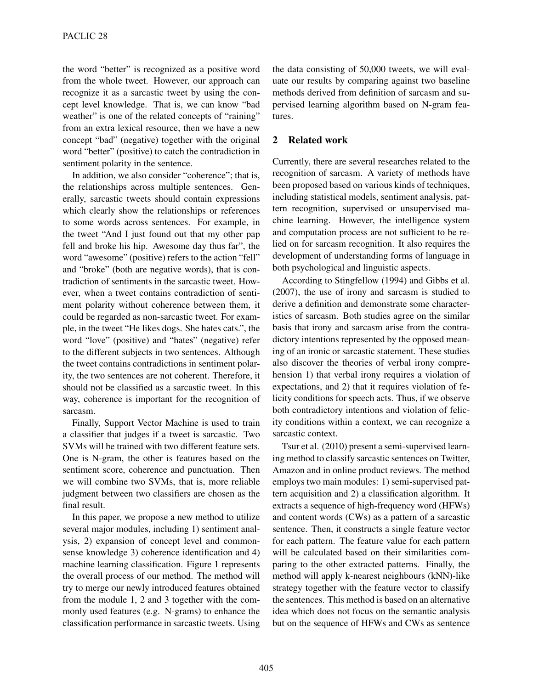the word "better" is recognized as a positive word from the whole tweet. However, our approach can recognize it as a sarcastic tweet by using the concept level knowledge. That is, we can know "bad weather" is one of the related concepts of "raining" from an extra lexical resource, then we have a new concept "bad" (negative) together with the original word "better" (positive) to catch the contradiction in sentiment polarity in the sentence.

In addition, we also consider "coherence"; that is, the relationships across multiple sentences. Generally, sarcastic tweets should contain expressions which clearly show the relationships or references to some words across sentences. For example, in the tweet "And I just found out that my other pap fell and broke his hip. Awesome day thus far", the word "awesome" (positive) refers to the action "fell" and "broke" (both are negative words), that is contradiction of sentiments in the sarcastic tweet. However, when a tweet contains contradiction of sentiment polarity without coherence between them, it could be regarded as non-sarcastic tweet. For example, in the tweet "He likes dogs. She hates cats.", the word "love" (positive) and "hates" (negative) refer to the different subjects in two sentences. Although the tweet contains contradictions in sentiment polarity, the two sentences are not coherent. Therefore, it should not be classified as a sarcastic tweet. In this way, coherence is important for the recognition of sarcasm.

Finally, Support Vector Machine is used to train a classifier that judges if a tweet is sarcastic. Two SVMs will be trained with two different feature sets. One is N-gram, the other is features based on the sentiment score, coherence and punctuation. Then we will combine two SVMs, that is, more reliable judgment between two classifiers are chosen as the final result.

In this paper, we propose a new method to utilize several major modules, including 1) sentiment analysis, 2) expansion of concept level and commonsense knowledge 3) coherence identification and 4) machine learning classification. Figure 1 represents the overall process of our method. The method will try to merge our newly introduced features obtained from the module 1, 2 and 3 together with the commonly used features (e.g. N-grams) to enhance the classification performance in sarcastic tweets. Using

the data consisting of 50,000 tweets, we will evaluate our results by comparing against two baseline methods derived from definition of sarcasm and supervised learning algorithm based on N-gram features.

## 2 Related work

Currently, there are several researches related to the recognition of sarcasm. A variety of methods have been proposed based on various kinds of techniques, including statistical models, sentiment analysis, pattern recognition, supervised or unsupervised machine learning. However, the intelligence system and computation process are not sufficient to be relied on for sarcasm recognition. It also requires the development of understanding forms of language in both psychological and linguistic aspects.

According to Stingfellow (1994) and Gibbs et al. (2007), the use of irony and sarcasm is studied to derive a definition and demonstrate some characteristics of sarcasm. Both studies agree on the similar basis that irony and sarcasm arise from the contradictory intentions represented by the opposed meaning of an ironic or sarcastic statement. These studies also discover the theories of verbal irony comprehension 1) that verbal irony requires a violation of expectations, and 2) that it requires violation of felicity conditions for speech acts. Thus, if we observe both contradictory intentions and violation of felicity conditions within a context, we can recognize a sarcastic context.

Tsur et al. (2010) present a semi-supervised learning method to classify sarcastic sentences on Twitter, Amazon and in online product reviews. The method employs two main modules: 1) semi-supervised pattern acquisition and 2) a classification algorithm. It extracts a sequence of high-frequency word (HFWs) and content words (CWs) as a pattern of a sarcastic sentence. Then, it constructs a single feature vector for each pattern. The feature value for each pattern will be calculated based on their similarities comparing to the other extracted patterns. Finally, the method will apply k-nearest neighbours (kNN)-like strategy together with the feature vector to classify the sentences. This method is based on an alternative idea which does not focus on the semantic analysis but on the sequence of HFWs and CWs as sentence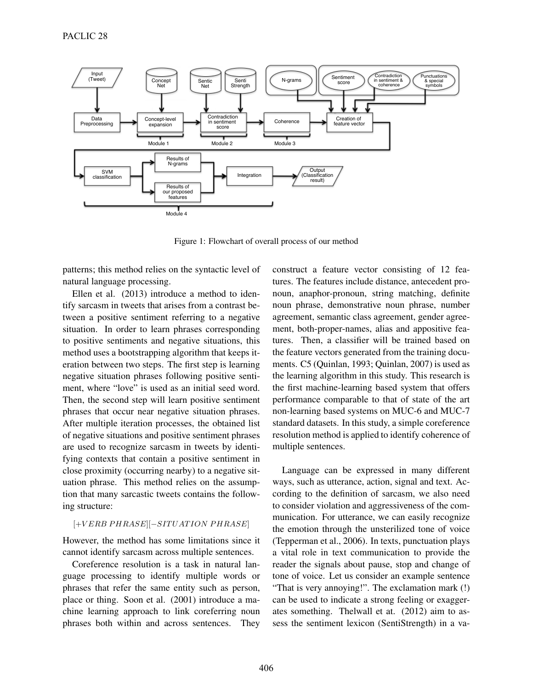

Figure 1: Flowchart of overall process of our method

patterns; this method relies on the syntactic level of natural language processing.

Ellen et al. (2013) introduce a method to identify sarcasm in tweets that arises from a contrast between a positive sentiment referring to a negative situation. In order to learn phrases corresponding to positive sentiments and negative situations, this method uses a bootstrapping algorithm that keeps iteration between two steps. The first step is learning negative situation phrases following positive sentiment, where "love" is used as an initial seed word. Then, the second step will learn positive sentiment phrases that occur near negative situation phrases. After multiple iteration processes, the obtained list of negative situations and positive sentiment phrases are used to recognize sarcasm in tweets by identifying contexts that contain a positive sentiment in close proximity (occurring nearby) to a negative situation phrase. This method relies on the assumption that many sarcastic tweets contains the following structure:

#### $[+VERB PHRASE][-SITUATION PHRASE]$

However, the method has some limitations since it cannot identify sarcasm across multiple sentences.

Coreference resolution is a task in natural language processing to identify multiple words or phrases that refer the same entity such as person, place or thing. Soon et al. (2001) introduce a machine learning approach to link coreferring noun phrases both within and across sentences. They

construct a feature vector consisting of 12 features. The features include distance, antecedent pronoun, anaphor-pronoun, string matching, definite noun phrase, demonstrative noun phrase, number agreement, semantic class agreement, gender agreement, both-proper-names, alias and appositive features. Then, a classifier will be trained based on the feature vectors generated from the training documents. C5 (Quinlan, 1993; Quinlan, 2007) is used as the learning algorithm in this study. This research is the first machine-learning based system that offers performance comparable to that of state of the art non-learning based systems on MUC-6 and MUC-7 standard datasets. In this study, a simple coreference resolution method is applied to identify coherence of multiple sentences.

Language can be expressed in many different ways, such as utterance, action, signal and text. According to the definition of sarcasm, we also need to consider violation and aggressiveness of the communication. For utterance, we can easily recognize the emotion through the unsterilized tone of voice (Tepperman et al., 2006). In texts, punctuation plays a vital role in text communication to provide the reader the signals about pause, stop and change of tone of voice. Let us consider an example sentence "That is very annoying!". The exclamation mark (!) can be used to indicate a strong feeling or exaggerates something. Thelwall et at. (2012) aim to assess the sentiment lexicon (SentiStrength) in a va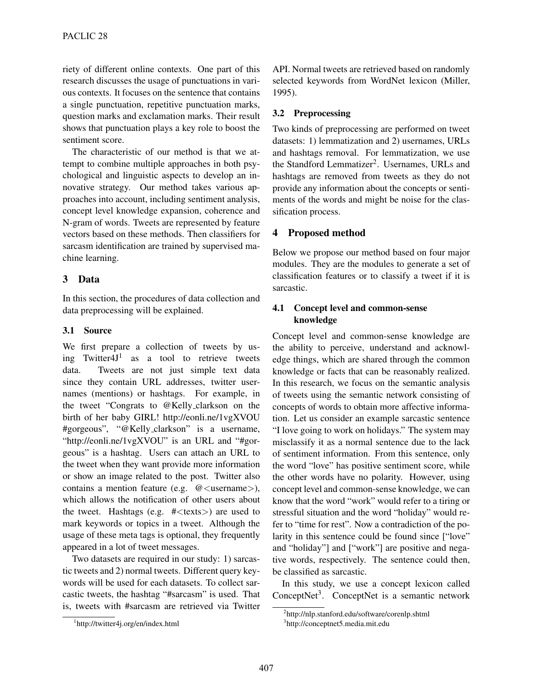riety of different online contexts. One part of this research discusses the usage of punctuations in various contexts. It focuses on the sentence that contains a single punctuation, repetitive punctuation marks, question marks and exclamation marks. Their result shows that punctuation plays a key role to boost the sentiment score.

The characteristic of our method is that we attempt to combine multiple approaches in both psychological and linguistic aspects to develop an innovative strategy. Our method takes various approaches into account, including sentiment analysis, concept level knowledge expansion, coherence and N-gram of words. Tweets are represented by feature vectors based on these methods. Then classifiers for sarcasm identification are trained by supervised machine learning.

## 3 Data

In this section, the procedures of data collection and data preprocessing will be explained.

## 3.1 Source

We first prepare a collection of tweets by using Twitter $4J^1$  as a tool to retrieve tweets data. Tweets are not just simple text data since they contain URL addresses, twitter usernames (mentions) or hashtags. For example, in the tweet "Congrats to @Kelly clarkson on the birth of her baby GIRL! http://eonli.ne/1vgXVOU #gorgeous", "@Kelly clarkson" is a username, "http://eonli.ne/1vgXVOU" is an URL and "#gorgeous" is a hashtag. Users can attach an URL to the tweet when they want provide more information or show an image related to the post. Twitter also contains a mention feature (e.g. @*<*username*>*), which allows the notification of other users about the tweet. Hashtags (e.g. #*<*texts*>*) are used to mark keywords or topics in a tweet. Although the usage of these meta tags is optional, they frequently appeared in a lot of tweet messages.

Two datasets are required in our study: 1) sarcastic tweets and 2) normal tweets. Different query keywords will be used for each datasets. To collect sarcastic tweets, the hashtag "#sarcasm" is used. That is, tweets with #sarcasm are retrieved via Twitter API. Normal tweets are retrieved based on randomly selected keywords from WordNet lexicon (Miller, 1995).

## 3.2 Preprocessing

Two kinds of preprocessing are performed on tweet datasets: 1) lemmatization and 2) usernames, URLs and hashtags removal. For lemmatization, we use the Standford Lemmatizer<sup>2</sup>. Usernames, URLs and hashtags are removed from tweets as they do not provide any information about the concepts or sentiments of the words and might be noise for the classification process.

## 4 Proposed method

Below we propose our method based on four major modules. They are the modules to generate a set of classification features or to classify a tweet if it is sarcastic.

## 4.1 Concept level and common-sense knowledge

Concept level and common-sense knowledge are the ability to perceive, understand and acknowledge things, which are shared through the common knowledge or facts that can be reasonably realized. In this research, we focus on the semantic analysis of tweets using the semantic network consisting of concepts of words to obtain more affective information. Let us consider an example sarcastic sentence "I love going to work on holidays." The system may misclassify it as a normal sentence due to the lack of sentiment information. From this sentence, only the word "love" has positive sentiment score, while the other words have no polarity. However, using concept level and common-sense knowledge, we can know that the word "work" would refer to a tiring or stressful situation and the word "holiday" would refer to "time for rest". Now a contradiction of the polarity in this sentence could be found since ["love" and "holiday"] and ["work"] are positive and negative words, respectively. The sentence could then, be classified as sarcastic.

In this study, we use a concept lexicon called ConceptNet<sup>3</sup>. ConceptNet is a semantic network

<sup>1</sup> http://twitter4j.org/en/index.html

<sup>2</sup> http://nlp.stanford.edu/software/corenlp.shtml

<sup>3</sup> http://conceptnet5.media.mit.edu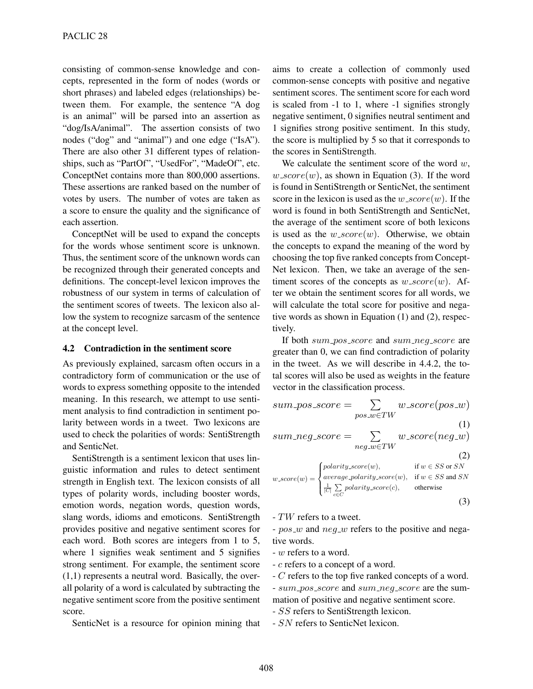consisting of common-sense knowledge and concepts, represented in the form of nodes (words or short phrases) and labeled edges (relationships) between them. For example, the sentence "A dog is an animal" will be parsed into an assertion as "dog/IsA/animal". The assertion consists of two nodes ("dog" and "animal") and one edge ("IsA"). There are also other 31 different types of relationships, such as "PartOf", "UsedFor", "MadeOf", etc. ConceptNet contains more than 800,000 assertions. These assertions are ranked based on the number of votes by users. The number of votes are taken as a score to ensure the quality and the significance of each assertion.

ConceptNet will be used to expand the concepts for the words whose sentiment score is unknown. Thus, the sentiment score of the unknown words can be recognized through their generated concepts and definitions. The concept-level lexicon improves the robustness of our system in terms of calculation of the sentiment scores of tweets. The lexicon also allow the system to recognize sarcasm of the sentence at the concept level.

## 4.2 Contradiction in the sentiment score

As previously explained, sarcasm often occurs in a contradictory form of communication or the use of words to express something opposite to the intended meaning. In this research, we attempt to use sentiment analysis to find contradiction in sentiment polarity between words in a tweet. Two lexicons are used to check the polarities of words: SentiStrength and SenticNet.

SentiStrength is a sentiment lexicon that uses linguistic information and rules to detect sentiment strength in English text. The lexicon consists of all types of polarity words, including booster words, emotion words, negation words, question words, slang words, idioms and emoticons. SentiStrength provides positive and negative sentiment scores for each word. Both scores are integers from 1 to 5, where 1 signifies weak sentiment and 5 signifies strong sentiment. For example, the sentiment score (1,1) represents a neutral word. Basically, the overall polarity of a word is calculated by subtracting the negative sentiment score from the positive sentiment score.

SenticNet is a resource for opinion mining that

aims to create a collection of commonly used common-sense concepts with positive and negative sentiment scores. The sentiment score for each word is scaled from -1 to 1, where -1 signifies strongly negative sentiment, 0 signifies neutral sentiment and 1 signifies strong positive sentiment. In this study, the score is multiplied by 5 so that it corresponds to the scores in SentiStrength.

We calculate the sentiment score of the word *w*,  $w\_score(w)$ , as shown in Equation (3). If the word is found in SentiStrength or SenticNet, the sentiment score in the lexicon is used as the  $w\_score(w)$ . If the word is found in both SentiStrength and SenticNet, the average of the sentiment score of both lexicons is used as the  $w\_score(w)$ . Otherwise, we obtain the concepts to expand the meaning of the word by choosing the top five ranked concepts from Concept-Net lexicon. Then, we take an average of the sentiment scores of the concepts as  $w\_score(w)$ . After we obtain the sentiment scores for all words, we will calculate the total score for positive and negative words as shown in Equation (1) and (2), respectively.

If both *sum pos score* and *sum neg score* are greater than 0, we can find contradiction of polarity in the tweet. As we will describe in 4.4.2, the total scores will also be used as weights in the feature vector in the classification process.

$$
sum\_pos\_score = \sum_{pos\_w \in TW} w\_score(pos\_w)
$$
\n(1)

$$
sum\_neg\_score = \sum_{neg\_w \in TW} w\_score(neg\_w)
$$
\n(2)

$$
w\_score(w) = \begin{cases} polarity\_score(w), & \text{if } w \in SS \text{ or } SN \\ average\_polarity\_score(w), & \text{if } w \in SS \text{ and } SN \\ \frac{1}{|C|} \sum_{c \in C} polarity\_score(c), & \text{otherwise} \end{cases}
$$
(3)

- *TW* refers to a tweet.

- *pos w* and *neg w* refers to the positive and negative words.

- *w* refers to a word.
- *c* refers to a concept of a word.
- *C* refers to the top five ranked concepts of a word. - *sum pos score* and *sum neg score* are the sum-
- mation of positive and negative sentiment score.
- *SS* refers to SentiStrength lexicon.
- *SN* refers to SenticNet lexicon.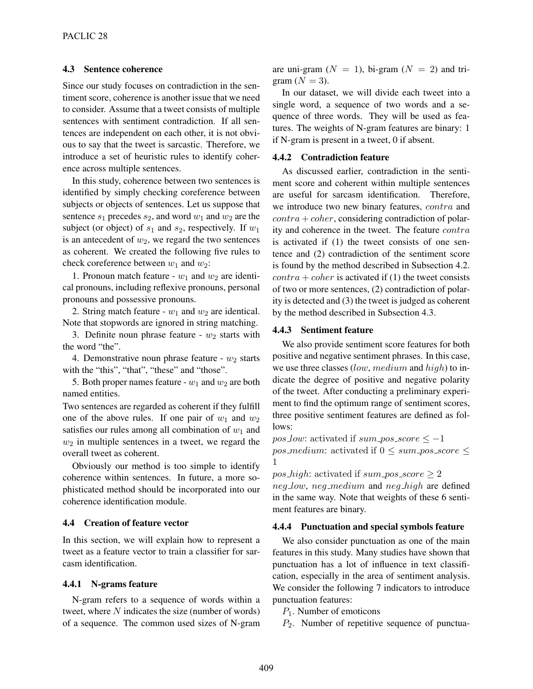## 4.3 Sentence coherence

Since our study focuses on contradiction in the sentiment score, coherence is another issue that we need to consider. Assume that a tweet consists of multiple sentences with sentiment contradiction. If all sentences are independent on each other, it is not obvious to say that the tweet is sarcastic. Therefore, we introduce a set of heuristic rules to identify coherence across multiple sentences.

In this study, coherence between two sentences is identified by simply checking coreference between subjects or objects of sentences. Let us suppose that sentence  $s_1$  precedes  $s_2$ , and word  $w_1$  and  $w_2$  are the subject (or object) of  $s_1$  and  $s_2$ , respectively. If  $w_1$ is an antecedent of  $w_2$ , we regard the two sentences as coherent. We created the following five rules to check coreference between *w*<sup>1</sup> and *w*2:

1. Pronoun match feature -  $w_1$  and  $w_2$  are identical pronouns, including reflexive pronouns, personal pronouns and possessive pronouns.

2. String match feature -  $w_1$  and  $w_2$  are identical. Note that stopwords are ignored in string matching.

3. Definite noun phrase feature -  $w_2$  starts with the word "the".

4. Demonstrative noun phrase feature -  $w_2$  starts with the "this", "that", "these" and "those".

5. Both proper names feature -  $w_1$  and  $w_2$  are both named entities.

Two sentences are regarded as coherent if they fulfill one of the above rules. If one pair of  $w_1$  and  $w_2$ satisfies our rules among all combination of  $w_1$  and *w*<sup>2</sup> in multiple sentences in a tweet, we regard the overall tweet as coherent.

Obviously our method is too simple to identify coherence within sentences. In future, a more sophisticated method should be incorporated into our coherence identification module.

## 4.4 Creation of feature vector

In this section, we will explain how to represent a tweet as a feature vector to train a classifier for sarcasm identification.

#### 4.4.1 N-grams feature

N-gram refers to a sequence of words within a tweet, where *N* indicates the size (number of words) of a sequence. The common used sizes of N-gram are uni-gram  $(N = 1)$ , bi-gram  $(N = 2)$  and trigram  $(N = 3)$ .

In our dataset, we will divide each tweet into a single word, a sequence of two words and a sequence of three words. They will be used as features. The weights of N-gram features are binary: 1 if N-gram is present in a tweet, 0 if absent.

#### 4.4.2 Contradiction feature

As discussed earlier, contradiction in the sentiment score and coherent within multiple sentences are useful for sarcasm identification. Therefore, we introduce two new binary features, *contra* and *contra* + *coher*, considering contradiction of polarity and coherence in the tweet. The feature *contra* is activated if (1) the tweet consists of one sentence and (2) contradiction of the sentiment score is found by the method described in Subsection 4.2.  $contra + coher$  is activated if (1) the tweet consists of two or more sentences, (2) contradiction of polarity is detected and (3) the tweet is judged as coherent by the method described in Subsection 4.3.

#### 4.4.3 Sentiment feature

We also provide sentiment score features for both positive and negative sentiment phrases. In this case, we use three classes (*low*, *medium* and *high*) to indicate the degree of positive and negative polarity of the tweet. After conducting a preliminary experiment to find the optimum range of sentiment scores, three positive sentiment features are defined as follows:

*pos\_low:* activated if *sum\_pos\_score*  $\leq -1$ *pos\_medium*: activated if  $0 \leq \text{sum\_pos\_score} \leq$ 1

 $pos\_high$ : activated if  $sum\_pos\_score \geq 2$ *neg low*, *neg medium* and *neg high* are defined in the same way. Note that weights of these 6 sentiment features are binary.

## 4.4.4 Punctuation and special symbols feature

We also consider punctuation as one of the main features in this study. Many studies have shown that punctuation has a lot of influence in text classification, especially in the area of sentiment analysis. We consider the following 7 indicators to introduce punctuation features:

*P*1. Number of emoticons

*P*2. Number of repetitive sequence of punctua-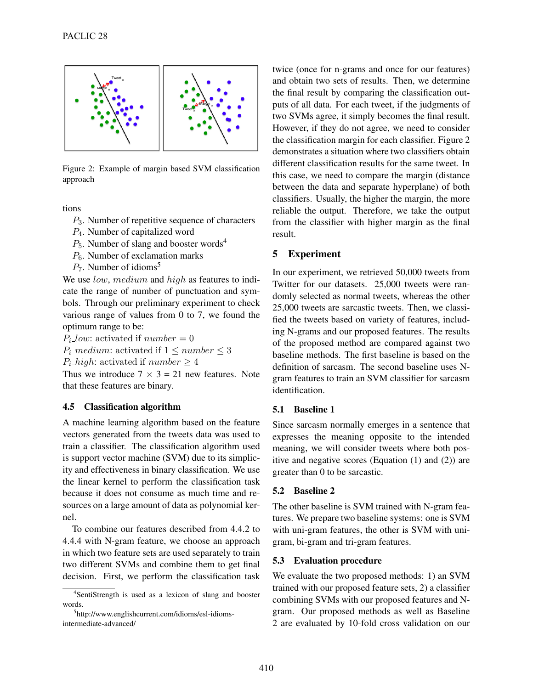

Figure 2: Example of margin based SVM classification approach

tions

- *P*3. Number of repetitive sequence of characters
- *P*4. Number of capitalized word
- $P_5$ . Number of slang and booster words<sup>4</sup>
- *P*<sub>6</sub>. Number of exclamation marks
- $P_7$ . Number of idioms<sup>5</sup>

We use *low*, *medium* and *high* as features to indicate the range of number of punctuation and symbols. Through our preliminary experiment to check various range of values from 0 to 7, we found the optimum range to be:

 $P_i$ *low*: activated if  $number = 0$ 

*P*<sub>*i*</sub>  $\text{median: activated if } 1 \leq \text{number} \leq 3$ 

 $P_i$ -high: activated if  $number \geq 4$ 

Thus we introduce  $7 \times 3 = 21$  new features. Note that these features are binary.

## 4.5 Classification algorithm

A machine learning algorithm based on the feature vectors generated from the tweets data was used to train a classifier. The classification algorithm used is support vector machine (SVM) due to its simplicity and effectiveness in binary classification. We use the linear kernel to perform the classification task because it does not consume as much time and resources on a large amount of data as polynomial kernel.

To combine our features described from 4.4.2 to 4.4.4 with N-gram feature, we choose an approach in which two feature sets are used separately to train two different SVMs and combine them to get final decision. First, we perform the classification task

twice (once for n-grams and once for our features) and obtain two sets of results. Then, we determine the final result by comparing the classification outputs of all data. For each tweet, if the judgments of two SVMs agree, it simply becomes the final result. However, if they do not agree, we need to consider the classification margin for each classifier. Figure 2 demonstrates a situation where two classifiers obtain different classification results for the same tweet. In this case, we need to compare the margin (distance between the data and separate hyperplane) of both classifiers. Usually, the higher the margin, the more reliable the output. Therefore, we take the output from the classifier with higher margin as the final result.

## 5 Experiment

In our experiment, we retrieved 50,000 tweets from Twitter for our datasets. 25,000 tweets were randomly selected as normal tweets, whereas the other 25,000 tweets are sarcastic tweets. Then, we classified the tweets based on variety of features, including N-grams and our proposed features. The results of the proposed method are compared against two baseline methods. The first baseline is based on the definition of sarcasm. The second baseline uses Ngram features to train an SVM classifier for sarcasm identification.

## 5.1 Baseline 1

Since sarcasm normally emerges in a sentence that expresses the meaning opposite to the intended meaning, we will consider tweets where both positive and negative scores (Equation (1) and (2)) are greater than 0 to be sarcastic.

#### 5.2 Baseline 2

The other baseline is SVM trained with N-gram features. We prepare two baseline systems: one is SVM with uni-gram features, the other is SVM with unigram, bi-gram and tri-gram features.

#### 5.3 Evaluation procedure

We evaluate the two proposed methods: 1) an SVM trained with our proposed feature sets, 2) a classifier combining SVMs with our proposed features and Ngram. Our proposed methods as well as Baseline 2 are evaluated by 10-fold cross validation on our

<sup>4</sup> SentiStrength is used as a lexicon of slang and booster words.

<sup>5</sup> http://www.englishcurrent.com/idioms/esl-idiomsintermediate-advanced/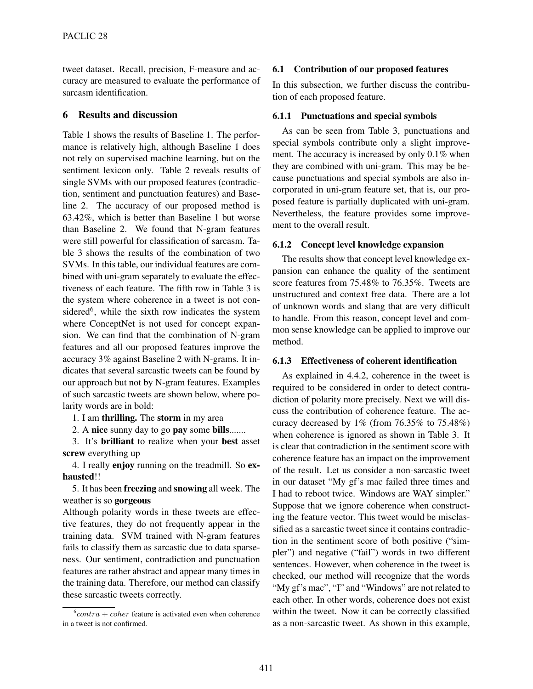tweet dataset. Recall, precision, F-measure and accuracy are measured to evaluate the performance of sarcasm identification.

## 6 Results and discussion

Table 1 shows the results of Baseline 1. The performance is relatively high, although Baseline 1 does not rely on supervised machine learning, but on the sentiment lexicon only. Table 2 reveals results of single SVMs with our proposed features (contradiction, sentiment and punctuation features) and Baseline 2. The accuracy of our proposed method is 63.42%, which is better than Baseline 1 but worse than Baseline 2. We found that N-gram features were still powerful for classification of sarcasm. Table 3 shows the results of the combination of two SVMs. In this table, our individual features are combined with uni-gram separately to evaluate the effectiveness of each feature. The fifth row in Table 3 is the system where coherence in a tweet is not considered<sup>6</sup>, while the sixth row indicates the system where ConceptNet is not used for concept expansion. We can find that the combination of N-gram features and all our proposed features improve the accuracy 3% against Baseline 2 with N-grams. It indicates that several sarcastic tweets can be found by our approach but not by N-gram features. Examples of such sarcastic tweets are shown below, where polarity words are in bold:

1. I am thrilling. The storm in my area

2. A nice sunny day to go pay some bills.......

3. It's brilliant to realize when your best asset screw everything up

4. I really enjoy running on the treadmill. So exhausted!!

5. It has been freezing and snowing all week. The weather is so gorgeous

Although polarity words in these tweets are effective features, they do not frequently appear in the training data. SVM trained with N-gram features fails to classify them as sarcastic due to data sparseness. Our sentiment, contradiction and punctuation features are rather abstract and appear many times in the training data. Therefore, our method can classify these sarcastic tweets correctly.

#### 6.1 Contribution of our proposed features

In this subsection, we further discuss the contribution of each proposed feature.

#### 6.1.1 Punctuations and special symbols

As can be seen from Table 3, punctuations and special symbols contribute only a slight improvement. The accuracy is increased by only 0.1% when they are combined with uni-gram. This may be because punctuations and special symbols are also incorporated in uni-gram feature set, that is, our proposed feature is partially duplicated with uni-gram. Nevertheless, the feature provides some improvement to the overall result.

#### 6.1.2 Concept level knowledge expansion

The results show that concept level knowledge expansion can enhance the quality of the sentiment score features from 75.48% to 76.35%. Tweets are unstructured and context free data. There are a lot of unknown words and slang that are very difficult to handle. From this reason, concept level and common sense knowledge can be applied to improve our method.

#### 6.1.3 Effectiveness of coherent identification

As explained in 4.4.2, coherence in the tweet is required to be considered in order to detect contradiction of polarity more precisely. Next we will discuss the contribution of coherence feature. The accuracy decreased by 1% (from 76.35% to 75.48%) when coherence is ignored as shown in Table 3. It is clear that contradiction in the sentiment score with coherence feature has an impact on the improvement of the result. Let us consider a non-sarcastic tweet in our dataset "My gf's mac failed three times and I had to reboot twice. Windows are WAY simpler." Suppose that we ignore coherence when constructing the feature vector. This tweet would be misclassified as a sarcastic tweet since it contains contradiction in the sentiment score of both positive ("simpler") and negative ("fail") words in two different sentences. However, when coherence in the tweet is checked, our method will recognize that the words "My gf's mac", "I" and "Windows" are not related to each other. In other words, coherence does not exist within the tweet. Now it can be correctly classified as a non-sarcastic tweet. As shown in this example,

 $6$ *contra* + *coher* feature is activated even when coherence in a tweet is not confirmed.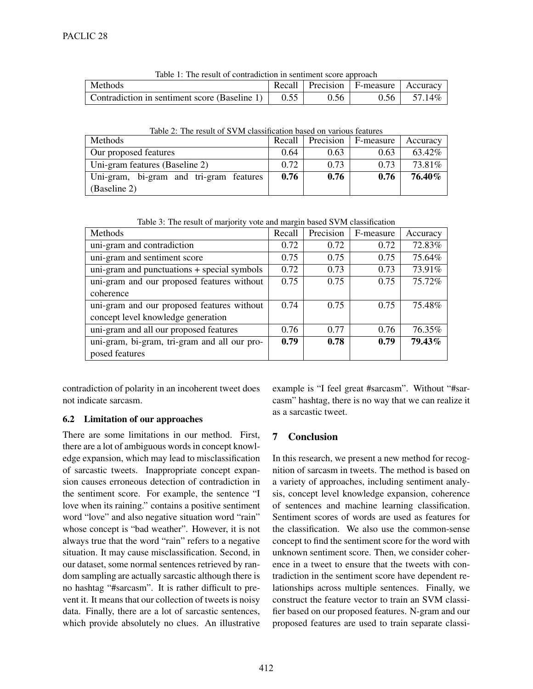| Table 1. The result of contradiction in sentiment score approach |      |      |                                           |        |  |
|------------------------------------------------------------------|------|------|-------------------------------------------|--------|--|
| Methods                                                          |      |      | Recall   Precision   F-measure   Accuracy |        |  |
| Contradiction in sentiment score (Baseline 1) $\vert$            | 0.55 | 0.56 | 0.56                                      | 57.14% |  |

Table 1: The result of contradiction in sentiment score approach

| Table 2: The result of SVM classification based on various features |  |  |
|---------------------------------------------------------------------|--|--|
|                                                                     |  |  |

| <b>Methods</b>                          | Recall | Precision | F-measure | Accuracy |
|-----------------------------------------|--------|-----------|-----------|----------|
| Our proposed features                   | 0.64   | 0.63      | 0.63      | 63.42\%  |
| Uni-gram features (Baseline 2)          | 0.72   | 0.73      | 0.73      | 73.81\%  |
| Uni-gram, bi-gram and tri-gram features | 0.76   | 0.76      | 0.76      | 76.40%   |
| (Baseline 2)                            |        |           |           |          |

Table 3: The result of marjority vote and margin based SVM classification

| Methods                                      | Recall | Precision | F-measure | Accuracy |
|----------------------------------------------|--------|-----------|-----------|----------|
| uni-gram and contradiction                   | 0.72   | 0.72      | 0.72      | 72.83%   |
| uni-gram and sentiment score                 | 0.75   | 0.75      | 0.75      | 75.64%   |
| uni-gram and punctuations + special symbols  | 0.72   | 0.73      | 0.73      | 73.91%   |
| uni-gram and our proposed features without   | 0.75   | 0.75      | 0.75      | 75.72%   |
| coherence                                    |        |           |           |          |
| uni-gram and our proposed features without   | 0.74   | 0.75      | 0.75      | 75.48%   |
| concept level knowledge generation           |        |           |           |          |
| uni-gram and all our proposed features       | 0.76   | 0.77      | 0.76      | 76.35%   |
| uni-gram, bi-gram, tri-gram and all our pro- | 0.79   | 0.78      | 0.79      | 79.43%   |
| posed features                               |        |           |           |          |

contradiction of polarity in an incoherent tweet does not indicate sarcasm.

# 6.2 Limitation of our approaches

There are some limitations in our method. First, there are a lot of ambiguous words in concept knowledge expansion, which may lead to misclassification of sarcastic tweets. Inappropriate concept expansion causes erroneous detection of contradiction in the sentiment score. For example, the sentence "I love when its raining." contains a positive sentiment word "love" and also negative situation word "rain" whose concept is "bad weather". However, it is not always true that the word "rain" refers to a negative situation. It may cause misclassification. Second, in our dataset, some normal sentences retrieved by random sampling are actually sarcastic although there is no hashtag "#sarcasm". It is rather difficult to prevent it. It means that our collection of tweets is noisy data. Finally, there are a lot of sarcastic sentences, which provide absolutely no clues. An illustrative

example is "I feel great #sarcasm". Without "#sarcasm" hashtag, there is no way that we can realize it as a sarcastic tweet.

# 7 Conclusion

In this research, we present a new method for recognition of sarcasm in tweets. The method is based on a variety of approaches, including sentiment analysis, concept level knowledge expansion, coherence of sentences and machine learning classification. Sentiment scores of words are used as features for the classification. We also use the common-sense concept to find the sentiment score for the word with unknown sentiment score. Then, we consider coherence in a tweet to ensure that the tweets with contradiction in the sentiment score have dependent relationships across multiple sentences. Finally, we construct the feature vector to train an SVM classifier based on our proposed features. N-gram and our proposed features are used to train separate classi